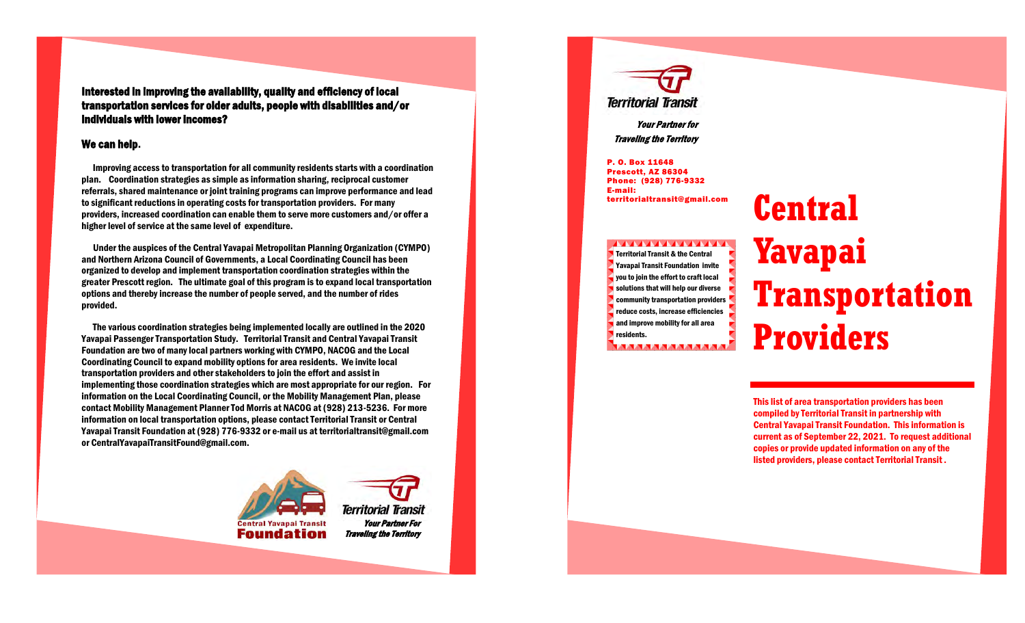Interested in improving the availability, quality and efficiency of local transportation services for older adults, people with disabilities and/or individuals with lower incomes?

## We can help.

 Improving access to transportation for all community residents starts with a coordination plan. Coordination strategies as simple as information sharing, reciprocal customer referrals, shared maintenance or joint training programs can improve performance and lead to significant reductions in operating costs for transportation providers. For many providers, increased coordination can enable them to serve more customers and/or offer a higher level of service at the same level of expenditure.

 Under the auspices of the Central Yavapai Metropolitan Planning Organization (CYMPO) and Northern Arizona Council of Governments, a Local Coordinating Council has been organized to develop and implement transportation coordination strategies within the greater Prescott region. The ultimate goal of this program is to expand local transportation options and thereby increase the number of people served, and the number of rides provided.

 The various coordination strategies being implemented locally are outlined in the 2020 Yavapai Passenger Transportation Study. Territorial Transit and Central Yavapai Transit Foundation are two of many local partners working with CYMPO, NACOG and the Local Coordinating Council to expand mobility options for area residents. We invite local transportation providers and other stakeholders to join the effort and assist in implementing those coordination strategies which are most appropriate for our region. For information on the Local Coordinating Council, or the Mobility Management Plan, please contact Mobility Management Planner Tod Morris at NACOG at (928) 213-5236. For more information on local transportation options, please contact Territorial Transit or Central Yavapai Transit Foundation at (928) 776-9332 or e-mail us at territorialtransit@gmail.com or CentralYavapaiTransitFound@gmail.com.





**Your Partner for Traveling the Territory** 

P. O. Box 11648 Prescott, AZ 86304 Phone: (928) 776-9332 E-mail: territorialtransit@gmail.com

## **Central**

**AAAAAAAAAAAAAA Territorial Transit & the Central** Yavapai Transit Foundation invite you to join the effort to craft local solutions that will help our diverse community transportation providers reduce costs, increase efficiencies and improve mobility for all area **v** residents. 

## **Yavapai Transportation Providers**

This list of area transportation providers has been compiled by Territorial Transit in partnership with Central Yavapai Transit Foundation. This information is current as of September 22, 2021. To request additional copies or provide updated information on any of the listed providers, please contact Territorial Transit .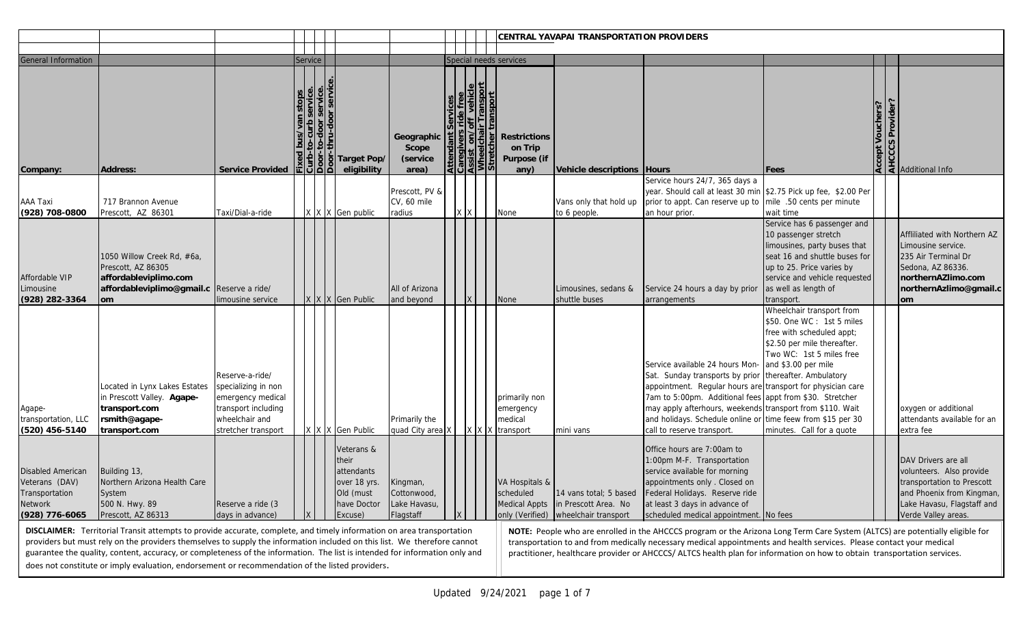|                                                                                             |                                                                                                                                                                                                                                                                                                                                                                                                                                                                                    |                                                                                                                             |                   |                                                                                          |                                                      |  | CENTRAL YAVAPAI TRANSPORTATION PROVIDERS |  |                                                                 |                                                                        |                                                                                                                                                                                                                                                                                                                                                                                                                                                                                                                                                                                                                    |                                                                                                                                                                                                                                                               |  |                                                                                                                                                                 |
|---------------------------------------------------------------------------------------------|------------------------------------------------------------------------------------------------------------------------------------------------------------------------------------------------------------------------------------------------------------------------------------------------------------------------------------------------------------------------------------------------------------------------------------------------------------------------------------|-----------------------------------------------------------------------------------------------------------------------------|-------------------|------------------------------------------------------------------------------------------|------------------------------------------------------|--|------------------------------------------|--|-----------------------------------------------------------------|------------------------------------------------------------------------|--------------------------------------------------------------------------------------------------------------------------------------------------------------------------------------------------------------------------------------------------------------------------------------------------------------------------------------------------------------------------------------------------------------------------------------------------------------------------------------------------------------------------------------------------------------------------------------------------------------------|---------------------------------------------------------------------------------------------------------------------------------------------------------------------------------------------------------------------------------------------------------------|--|-----------------------------------------------------------------------------------------------------------------------------------------------------------------|
|                                                                                             |                                                                                                                                                                                                                                                                                                                                                                                                                                                                                    |                                                                                                                             |                   |                                                                                          |                                                      |  |                                          |  |                                                                 |                                                                        |                                                                                                                                                                                                                                                                                                                                                                                                                                                                                                                                                                                                                    |                                                                                                                                                                                                                                                               |  |                                                                                                                                                                 |
| General Information                                                                         |                                                                                                                                                                                                                                                                                                                                                                                                                                                                                    |                                                                                                                             | Service           |                                                                                          |                                                      |  |                                          |  | Special needs services                                          |                                                                        |                                                                                                                                                                                                                                                                                                                                                                                                                                                                                                                                                                                                                    |                                                                                                                                                                                                                                                               |  |                                                                                                                                                                 |
| Company:                                                                                    | Address:                                                                                                                                                                                                                                                                                                                                                                                                                                                                           | Service Provided                                                                                                            | it lõ <b>l</b> õl | Target Pop/<br>eligibility                                                               | Geographic<br>Scope<br>(service<br>area)             |  |                                          |  | Restrictions<br>on Trip<br>Purpose (if<br>any)                  | Vehicle descriptions Hours                                             |                                                                                                                                                                                                                                                                                                                                                                                                                                                                                                                                                                                                                    | Fees                                                                                                                                                                                                                                                          |  | <b>T</b> Additional Info                                                                                                                                        |
|                                                                                             |                                                                                                                                                                                                                                                                                                                                                                                                                                                                                    |                                                                                                                             |                   |                                                                                          | Prescott, PV &                                       |  |                                          |  |                                                                 |                                                                        | Service hours 24/7, 365 days a<br>year. Should call at least 30 min \$2.75 Pick up fee, \$2.00 Per                                                                                                                                                                                                                                                                                                                                                                                                                                                                                                                 |                                                                                                                                                                                                                                                               |  |                                                                                                                                                                 |
| AAA Taxi                                                                                    | 717 Brannon Avenue                                                                                                                                                                                                                                                                                                                                                                                                                                                                 |                                                                                                                             |                   |                                                                                          | CV, 60 mile                                          |  |                                          |  |                                                                 | Vans only that hold up                                                 | prior to appt. Can reserve up to                                                                                                                                                                                                                                                                                                                                                                                                                                                                                                                                                                                   | mile .50 cents per minute                                                                                                                                                                                                                                     |  |                                                                                                                                                                 |
| (928) 708-0800                                                                              | Prescott, AZ 86301                                                                                                                                                                                                                                                                                                                                                                                                                                                                 | Taxi/Dial-a-ride                                                                                                            |                   | X X X Gen public                                                                         | radius                                               |  |                                          |  | None                                                            | to 6 people                                                            | an hour prior                                                                                                                                                                                                                                                                                                                                                                                                                                                                                                                                                                                                      | wait time                                                                                                                                                                                                                                                     |  |                                                                                                                                                                 |
| Affordable VIP<br>Limousine<br>(928) 282-3364                                               | 1050 Willow Creek Rd, #6a,<br>Prescott, AZ 86305<br>affordableviplimo.com<br>affordableviplimo@gmail.c Reserve a ride/<br>om.                                                                                                                                                                                                                                                                                                                                                      | imousine service                                                                                                            |                   | X X X Gen Public                                                                         | All of Arizona<br>and beyond                         |  |                                          |  | None                                                            | Limousines, sedans &<br>shuttle buses                                  | Service 24 hours a day by prior<br>arrangements                                                                                                                                                                                                                                                                                                                                                                                                                                                                                                                                                                    | Service has 6 passenger and<br>10 passenger stretch<br>limousines, party buses that<br>seat 16 and shuttle buses for<br>up to 25. Price varies by<br>service and vehicle requested<br>as well as length of<br>transport.                                      |  | Affliliated with Northern AZ<br><i>Limousine service.</i><br>235 Air Terminal Dr<br>Sedona, AZ 86336.<br>northernAZlimo.com<br>northernAzlimo@gmail.c<br>om     |
|                                                                                             |                                                                                                                                                                                                                                                                                                                                                                                                                                                                                    |                                                                                                                             |                   |                                                                                          |                                                      |  |                                          |  |                                                                 |                                                                        |                                                                                                                                                                                                                                                                                                                                                                                                                                                                                                                                                                                                                    | Wheelchair transport from                                                                                                                                                                                                                                     |  |                                                                                                                                                                 |
| Agape-<br>transportation, LLC<br>$(520)$ 456-5140                                           | Located in Lynx Lakes Estates<br>in Prescott Valley. Agape-<br>transport.com<br>rsmith@agape-<br>transport.com                                                                                                                                                                                                                                                                                                                                                                     | Reserve-a-ride/<br>specializing in non<br>emergency medical<br>transport including<br>wheelchair and<br>stretcher transport |                   | X X X Gen Public                                                                         | Primarily the<br>quad City area                      |  |                                          |  | primarily non<br>emergency<br>medical<br>X X transport          | mini vans                                                              | Service available 24 hours Mon-<br>Sat. Sunday transports by prior<br>appointment. Regular hours are<br>7am to 5:00pm. Additional fees appt from \$30. Stretcher<br>may apply afterhours, weekends transport from \$110. Wait<br>and holidays. Schedule online or<br>call to reserve transport                                                                                                                                                                                                                                                                                                                     | \$50. One WC: 1st 5 miles<br>free with scheduled appt;<br>\$2.50 per mile thereafter.<br>Two WC: 1st 5 miles free<br>and \$3.00 per mile<br>thereafter. Ambulatory<br>transport for physician care<br>time feew from \$15 per 30<br>minutes. Call for a quote |  | oxygen or additional<br>attendants available for an<br>extra fee                                                                                                |
| Disabled American<br>Veterans (DAV)<br>Transportation<br><b>Network</b><br>$(928)$ 776-6065 | Building 13,<br>Northern Arizona Health Care<br>System<br>500 N. Hwy. 89<br>Prescott, AZ 86313<br>DISCLAIMER: Territorial Transit attempts to provide accurate, complete, and timely information on area transportation<br>providers but must rely on the providers themselves to supply the information included on this list. We therefore cannot<br>guarantee the quality, content, accuracy, or completeness of the information. The list is intended for information only and | Reserve a ride (3<br>days in advance)                                                                                       |                   | Veterans &<br>their<br>attendants<br>over 18 yrs.<br>Old (must<br>have Doctor<br>Excuse) | Kingman,<br>Cottonwood,<br>Lake Havasu,<br>Flagstaff |  |                                          |  | VA Hospitals &<br>scheduled<br>Medical Appts<br>only (Verified) | 14 vans total; 5 based<br>in Prescott Area. No<br>wheelchair transport | Office hours are 7:00am to<br>1:00pm M-F. Transportation<br>service available for morning<br>appointments only. Closed on<br>Federal Holidays. Reserve ride<br>at least 3 days in advance of<br>scheduled medical appointment<br>NOTE: People who are enrolled in the AHCCCS program or the Arizona Long Term Care System (ALTCS) are potentially eligible for<br>transportation to and from medically necessary medical appointments and health services. Please contact your medical<br>practitioner, healthcare provider or AHCCCS/ ALTCS health plan for information on how to obtain transportation services. | No fees                                                                                                                                                                                                                                                       |  | DAV Drivers are all<br>volunteers. Also provide<br>transportation to Prescott<br>and Phoenix from Kingman,<br>Lake Havasu, Flagstaff and<br>Verde Valley areas. |
|                                                                                             | does not constitute or imply evaluation, endorsement or recommendation of the listed providers.                                                                                                                                                                                                                                                                                                                                                                                    |                                                                                                                             |                   |                                                                                          |                                                      |  |                                          |  |                                                                 |                                                                        |                                                                                                                                                                                                                                                                                                                                                                                                                                                                                                                                                                                                                    |                                                                                                                                                                                                                                                               |  |                                                                                                                                                                 |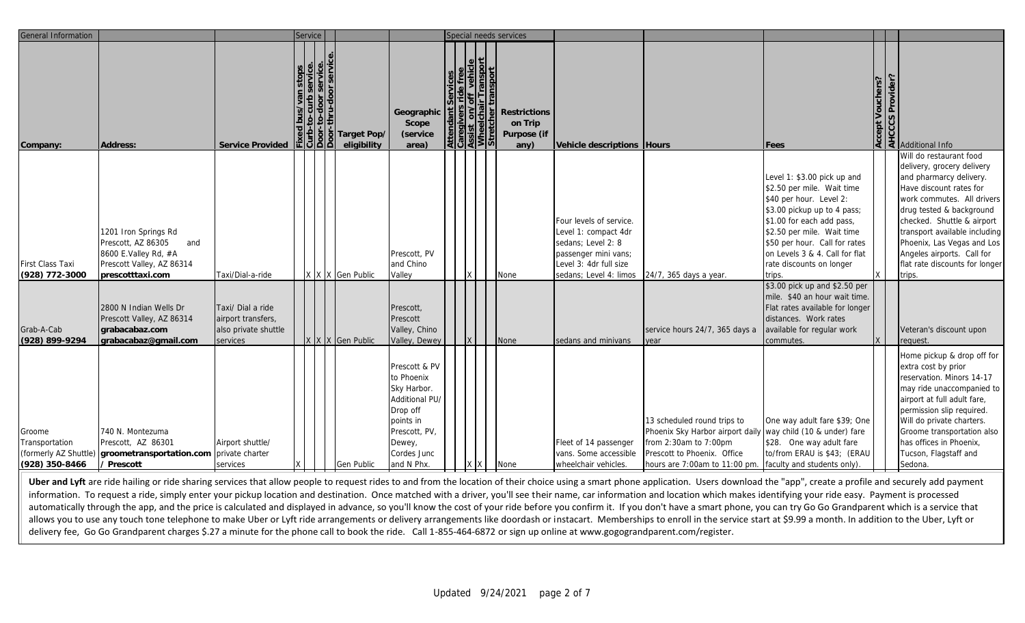| General Information                        |                                                                                                                            |                                                                             | Service |                            |                                                                                                                                               |  | Special needs services                         |                                                                                                                                                                          |                                                                                                                                                          |                                                                                                                                                                                                                                                                                         |                                                                                                                                                                                                                                                                                                                                             |
|--------------------------------------------|----------------------------------------------------------------------------------------------------------------------------|-----------------------------------------------------------------------------|---------|----------------------------|-----------------------------------------------------------------------------------------------------------------------------------------------|--|------------------------------------------------|--------------------------------------------------------------------------------------------------------------------------------------------------------------------------|----------------------------------------------------------------------------------------------------------------------------------------------------------|-----------------------------------------------------------------------------------------------------------------------------------------------------------------------------------------------------------------------------------------------------------------------------------------|---------------------------------------------------------------------------------------------------------------------------------------------------------------------------------------------------------------------------------------------------------------------------------------------------------------------------------------------|
| Company:                                   | Address:                                                                                                                   | Service Provided                                                            |         | Target Pop/<br>eligibility | Geographic<br>Scope<br>(service)<br>area)                                                                                                     |  | Restrictions<br>on Trip<br>Purpose (if<br>any) | Vehicle descriptions Hours                                                                                                                                               |                                                                                                                                                          | Fees                                                                                                                                                                                                                                                                                    | $\frac{1}{4}$ Additional Info                                                                                                                                                                                                                                                                                                               |
| First Class Taxi<br>(928) 772-3000         | 1201 Iron Springs Rd<br>Prescott, AZ 86305<br>and<br>8600 E.Valley Rd, #A<br>Prescott Valley, AZ 86314<br>orescotttaxi.com | Taxi/Dial-a-ride                                                            |         | X X X Gen Public           | Prescott, PV<br>and Chino<br>Valley                                                                                                           |  | None                                           | Four levels of service.<br>Level 1: compact 4dr<br>sedans; Level 2: 8<br>passenger mini vans;<br>Level 3: 4dr full size<br>sedans; Level 4: limos 24/7, 365 days a year. |                                                                                                                                                          | Level 1: \$3.00 pick up and<br>\$2.50 per mile. Wait time<br>\$40 per hour. Level 2:<br>\$3.00 pickup up to 4 pass;<br>\$1.00 for each add pass,<br>\$2.50 per mile. Wait time<br>\$50 per hour. Call for rates<br>on Levels 3 & 4. Call for flat<br>rate discounts on longer<br>trips. | Will do restaurant food<br>delivery, grocery delivery<br>and pharmarcy delivery.<br>Have discount rates for<br>work commutes. All drivers<br>drug tested & background<br>checked. Shuttle & airport<br>transport available including<br>Phoenix, Las Vegas and Los<br>Angeles airports. Call for<br>flat rate discounts for longer<br>trips |
| Grab-A-Cab<br>(928) 899-9294               | 2800 N Indian Wells Dr<br>Prescott Valley, AZ 86314<br>grabacabaz.com<br>grabacabaz@gmail.com                              | Taxi/ Dial a ride<br>airport transfers,<br>also private shuttle<br>services |         | X X Gen Public             | Prescott,<br>Prescott<br>Valley, Chino<br>Valley, Dewey                                                                                       |  | <b>None</b>                                    | sedans and minivans                                                                                                                                                      | service hours 24/7, 365 days a<br>vear                                                                                                                   | \$3.00 pick up and \$2.50 per<br>mile. \$40 an hour wait time.<br>Flat rates available for longer<br>distances. Work rates<br>available for regular work<br>commutes.                                                                                                                   | Veteran's discount upon<br>request                                                                                                                                                                                                                                                                                                          |
| Groome<br>Transportation<br>(928) 350-8466 | 740 N. Montezuma<br>Prescott, AZ 86301<br>(formerly AZ Shuttle) groometransportation.com<br>/ Prescott                     | Airport shuttle/<br>private charter<br>services                             |         | Gen Public                 | Prescott & PV<br>to Phoenix<br>Sky Harbor.<br>Additional PU/<br>Drop off<br>points in<br>Prescott, PV,<br>Dewey,<br>Cordes Junc<br>and N Phx. |  | None                                           | Fleet of 14 passenger<br>vans. Some accessible<br>wheelchair vehicles.                                                                                                   | 13 scheduled round trips to<br>Phoenix Sky Harbor airport daily<br>from 2:30am to 7:00pm<br>Prescott to Phoenix. Office<br>hours are 7:00am to 11:00 pm. | One way adult fare \$39; One<br>way child (10 & under) fare<br>\$28. One way adult fare<br>to/from ERAU is \$43; (ERAU<br>faculty and students only)                                                                                                                                    | Home pickup & drop off for<br>extra cost by prior<br>reservation. Minors 14-17<br>may ride unaccompanied to<br>airport at full adult fare,<br>permission slip required.<br>Will do private charters.<br>Groome transportation also<br>has offices in Phoenix,<br>Tucson, Flagstaff and<br>Sedona                                            |

Uber and Lyft are ride hailing or ride sharing services that allow people to request rides to and from the location of their choice using a smart phone application. Users download the "app", create a profile and securely a information. To request a ride, simply enter your pickup location and destination. Once matched with a driver, you'll see their name, car information and location which makes identifying your ride easy. Payment is processed automatically through the app, and the price is calculated and displayed in advance, so you'll know the cost of your ride before you confirm it. If you don't have a smart phone, you can try Go Go Grandparent which is a ser allows you to use any touch tone telephone to make Uber or Lyft ride arrangements or delivery arrangements like doordash or instacart. Memberships to enroll in the service start at \$9.99 a month. In addition to the Uber, L delivery fee, Go Go Grandparent charges \$.27 a minute for the phone call to book the ride. Call 1-855-464-6872 or sign up online at www.gogograndparent.com/register.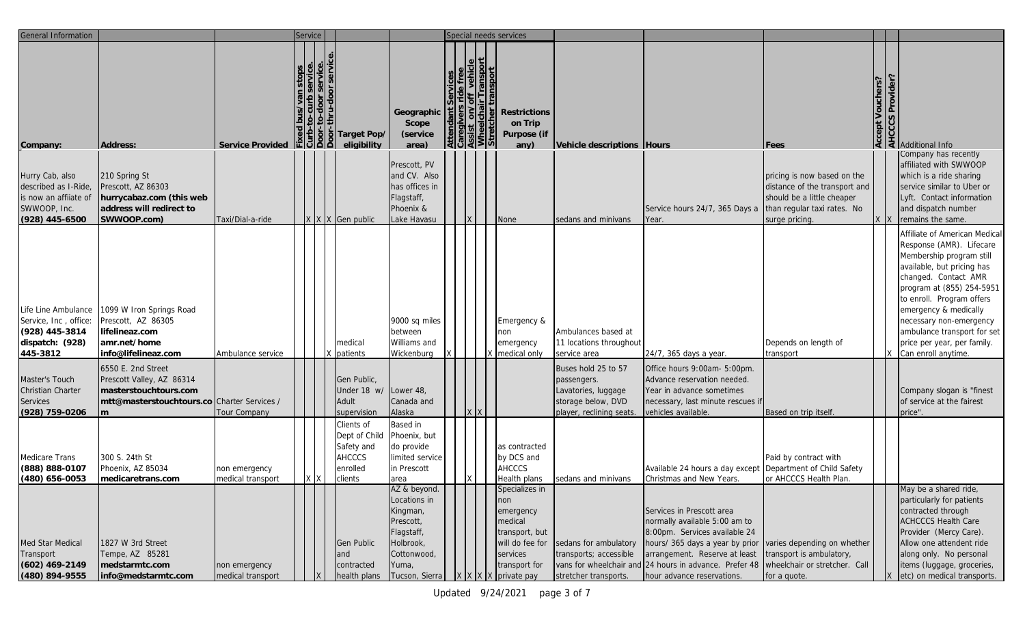| General Information                                                                                  |                                                                                                                         |                                    | Service |      |                                                                                   |                                                                                           |  | Special needs services                                                                                       |                                                                                                            |                                                                                                                                                                                                                                                                                                                   |                                                                                                                                             |                                                                                                                                                                                                                                                                                                                                                |
|------------------------------------------------------------------------------------------------------|-------------------------------------------------------------------------------------------------------------------------|------------------------------------|---------|------|-----------------------------------------------------------------------------------|-------------------------------------------------------------------------------------------|--|--------------------------------------------------------------------------------------------------------------|------------------------------------------------------------------------------------------------------------|-------------------------------------------------------------------------------------------------------------------------------------------------------------------------------------------------------------------------------------------------------------------------------------------------------------------|---------------------------------------------------------------------------------------------------------------------------------------------|------------------------------------------------------------------------------------------------------------------------------------------------------------------------------------------------------------------------------------------------------------------------------------------------------------------------------------------------|
| Company:                                                                                             | Address:                                                                                                                | Service Provided                   |         | 기의의의 | 이 이 Target Pop/<br>eligibility                                                    | Geographic<br>Scope<br>(service<br>area)                                                  |  | Restrictions<br>on Trip<br>Purpose (if<br>any)                                                               | Vehicle descriptions Hours                                                                                 |                                                                                                                                                                                                                                                                                                                   | Fees                                                                                                                                        | $\overline{\frac{1}{5}}$ Additional Info                                                                                                                                                                                                                                                                                                       |
| Hurry Cab, also<br>described as I-Ride,<br>is now an affiiate of<br>SWWOOP, Inc.<br>$(928)$ 445-6500 | 210 Spring St<br>Prescott, AZ 86303<br>hurrycabaz.com (this web<br>address will redirect to<br>SWWOOP.com)              | Taxi/Dial-a-ride                   |         |      | X X Gen public                                                                    | Prescott, PV<br>and CV. Also<br>has offices in<br>Flagstaff,<br>Phoenix &<br>ake Havasu.  |  | None                                                                                                         | sedans and minivans                                                                                        | Service hours 24/7, 365 Days a<br>Year.                                                                                                                                                                                                                                                                           | pricing is now based on the<br>distance of the transport and<br>should be a little cheaper<br>than regular taxi rates. No<br>surge pricing. | Company has recently<br>affiliated with SWWOOP<br>which is a ride sharing<br>service similar to Uber or<br>Lyft. Contact information<br>and dispatch number<br>remains the same.                                                                                                                                                               |
| Life Line Ambulance<br>Service, Inc., office:<br>(928) 445-3814<br>dispatch: (928)<br>445-3812       | 1099 W Iron Springs Road<br>Prescott, AZ 86305<br>lifelineaz.com<br>amr.net/home<br>info@lifelineaz.com                 | Ambulance service                  |         |      | medical<br>patients                                                               | 9000 sq miles<br>between<br>Williams and<br>Wickenburg                                    |  | Emergency &<br>non<br>emergency<br>medical only                                                              | Ambulances based at<br>11 locations throughout<br>service area                                             | 24/7, 365 days a year                                                                                                                                                                                                                                                                                             | Depends on length of<br>transport                                                                                                           | Affiliate of American Medical<br>Response (AMR). Lifecare<br>Membership program still<br>available, but pricing has<br>changed. Contact AMR<br>program at (855) 254-5951<br>to enroll. Program offers<br>emergency & medically<br>necessary non-emergency<br>ambulance transport for set<br>price per year, per family.<br>Can enroll anytime. |
| Master's Touch<br>Christian Charter<br>Services<br>(928) 759-0206                                    | 6550 E. 2nd Street<br>Prescott Valley, AZ 86314<br>masterstouchtours.com<br>mtt@masterstouchtours.co Charter Services / | Tour Company                       |         |      | Gen Public,<br>Under 18 w/<br>Adult<br>supervision<br>Clients of<br>Dept of Child | Lower 48,<br>Canada and<br>Alaska<br>Based in<br>Phoenix, but                             |  |                                                                                                              | Buses hold 25 to 57<br>passengers.<br>Lavatories, luggage<br>storage below, DVD<br>player, reclining seats | Office hours 9:00am- 5:00pm.<br>Advance reservation needed.<br>Year in advance sometimes<br>necessary, last minute rescues if<br>vehicles available.                                                                                                                                                              | Based on trip itself                                                                                                                        | Company slogan is "finest<br>of service at the fairest<br>price"                                                                                                                                                                                                                                                                               |
| Medicare Trans<br>(888) 888-0107<br>$(480)$ 656-0053                                                 | 300 S. 24th St<br>Phoenix, AZ 85034<br>medicaretrans.com                                                                | non emergency<br>medical transport |         |      | Safety and<br><b>AHCCCS</b><br>enrolled<br>clients                                | do provide<br>limited service<br>in Prescott<br>area<br>AZ & beyond.<br>Locations in      |  | as contracted<br>by DCS and<br>AHCCCS<br>Health plans<br>Specializes in                                      | sedans and minivans                                                                                        | Available 24 hours a day except Department of Child Safety<br>Christmas and New Years.                                                                                                                                                                                                                            | Paid by contract with<br>or AHCCCS Health Plan.                                                                                             | May be a shared ride,<br>particularly for patients                                                                                                                                                                                                                                                                                             |
| Med Star Medical<br>Transport<br>$(602)$ 469-2149<br>$(480) 894 - 9555$                              | 1827 W 3rd Street<br>Tempe, AZ 85281<br>medstarmtc.com<br>info@medstarmtc.com                                           | non emergency<br>medical transport |         |      | Gen Public<br>and<br>contracted<br>nealth plans                                   | Kingman,<br>Prescott,<br>Flagstaff,<br>Holbrook,<br>Cottonwood,<br>Yuma,<br>Tucson, Sierr |  | non<br>emergency<br>medical<br>transport, but<br>will do fee for<br>services<br>transport for<br>private pay | sedans for ambulatory<br>transports; accessible<br>stretcher transports.                                   | Services in Prescott area<br>normally available 5:00 am to<br>8:00pm. Services available 24<br>hours/ 365 days a year by prior varies depending on whether<br>arrangement. Reserve at least<br>vans for wheelchair and 24 hours in advance. Prefer 48 wheelchair or stretcher. Call<br>hour advance reservations. | transport is ambulatory,<br>for a quote.                                                                                                    | contracted through<br>ACHCCCS Health Care<br>Provider (Mercy Care).<br>Allow one attendent ride<br>along only. No personal<br>items (luggage, groceries,<br>etc) on medical transports.                                                                                                                                                        |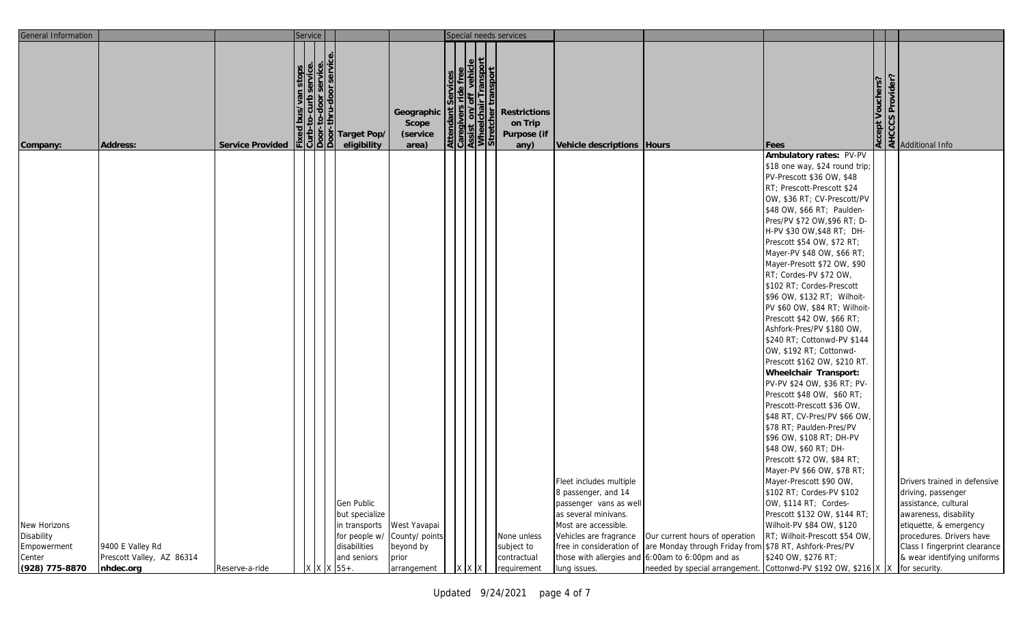| General Information                                                                                                                 | <b>Service</b>                                                                                          | Special needs services                                                                                                                               |                                                                                                                                                                                                                                                                                                                                              |                                                                                                                                                                                                                                                                                                                                                                                                                                                                                                                                                                                                                                                                                                                                                                                                                                                                                                                                                                                                                                                                                                                                                                                                                                                                                                                                                                                                                                              |
|-------------------------------------------------------------------------------------------------------------------------------------|---------------------------------------------------------------------------------------------------------|------------------------------------------------------------------------------------------------------------------------------------------------------|----------------------------------------------------------------------------------------------------------------------------------------------------------------------------------------------------------------------------------------------------------------------------------------------------------------------------------------------|----------------------------------------------------------------------------------------------------------------------------------------------------------------------------------------------------------------------------------------------------------------------------------------------------------------------------------------------------------------------------------------------------------------------------------------------------------------------------------------------------------------------------------------------------------------------------------------------------------------------------------------------------------------------------------------------------------------------------------------------------------------------------------------------------------------------------------------------------------------------------------------------------------------------------------------------------------------------------------------------------------------------------------------------------------------------------------------------------------------------------------------------------------------------------------------------------------------------------------------------------------------------------------------------------------------------------------------------------------------------------------------------------------------------------------------------|
| Address:<br>Company:                                                                                                                | Target Pop/<br>eligibility<br>Service Provided                                                          | $\frac{ \overline{B} }{ \overline{C} }$<br>Restrictions<br>Geographic $ \vec{\tau} $<br>Scope<br>on Trip<br>(service<br>Purpose (if<br>area)<br>any) | Vehicle descriptions Hours                                                                                                                                                                                                                                                                                                                   | $\frac{3}{5}$ $\frac{1}{5}$ Additional Info<br>Fees                                                                                                                                                                                                                                                                                                                                                                                                                                                                                                                                                                                                                                                                                                                                                                                                                                                                                                                                                                                                                                                                                                                                                                                                                                                                                                                                                                                          |
| New Horizons<br>Disability<br>9400 E Valley Rd<br>Empowerment<br>Prescott Valley, AZ 86314<br>Center<br>(928) 775-8870<br>nhdec.org | Gen Public<br>but specialize<br>in transports<br>disabilities<br>and seniors<br>Reserve-a-ride<br>$55+$ | West Yavapai<br>for people w/ County/ points<br>None unless<br>beyond by<br>subject to<br>prior<br>contractual<br>equirement<br>arrangement          | Fleet includes multiple<br>8 passenger, and 14<br>passenger vans as well<br>as several minivans.<br>Most are accessible.<br>Our current hours of operation<br>Vehicles are fragrance<br>free in consideration of are Monday through Friday from \$78 RT, Ashfork-Pres/PV<br>those with allergies and 6:00am to 6:00pm and as<br>lung issues. | Ambulatory rates: PV-PV<br>\$18 one way, \$24 round trip;<br>PV-Prescott \$36 OW, \$48<br>RT; Prescott-Prescott \$24<br>OW, \$36 RT; CV-Prescott/PV<br>\$48 OW, \$66 RT; Paulden-<br>Pres/PV \$72 OW, \$96 RT; D-<br>H-PV \$30 OW, \$48 RT; DH-<br>Prescott \$54 OW, \$72 RT;<br>Mayer-PV \$48 OW, \$66 RT;<br>Mayer-Presott \$72 OW, \$90<br>RT; Cordes-PV \$72 OW,<br>\$102 RT; Cordes-Prescott<br>\$96 OW, \$132 RT; Wilholt-<br>PV \$60 OW, \$84 RT; Wilhoit<br>Prescott \$42 OW, \$66 RT;<br>Ashfork-Pres/PV \$180 OW,<br>\$240 RT; Cottonwd-PV \$144<br>OW, \$192 RT; Cottonwd-<br>Prescott \$162 OW, \$210 RT.<br>Wheelchair Transport:<br>PV-PV \$24 OW, \$36 RT; PV-<br>Prescott \$48 OW, \$60 RT;<br>Prescott-Prescott \$36 OW,<br>\$48 RT, CV-Pres/PV \$66 OW,<br>\$78 RT; Paulden-Pres/PV<br>\$96 OW, \$108 RT; DH-PV<br>\$48 OW, \$60 RT; DH-<br>Prescott \$72 OW, \$84 RT;<br>Mayer-PV \$66 OW, \$78 RT;<br>Mayer-Prescott \$90 OW,<br>Drivers trained in defensive<br>\$102 RT; Cordes-PV \$102<br>driving, passenger<br>OW, \$114 RT; Cordes-<br>assistance, cultural<br>Prescott \$132 OW, \$144 RT;<br>awareness, disability<br>Wilhoit-PV \$84 OW, \$120<br>etiquette, & emergency<br>procedures. Drivers have<br>RT; Wilholt-Prescott \$54 OW,<br>Class I fingerprint clearance<br>& wear identifying uniforms<br>\$240 OW, \$276 RT;<br>needed by special arrangement. Cottonwd-PV \$192 OW, \$216 X ><br>for security. |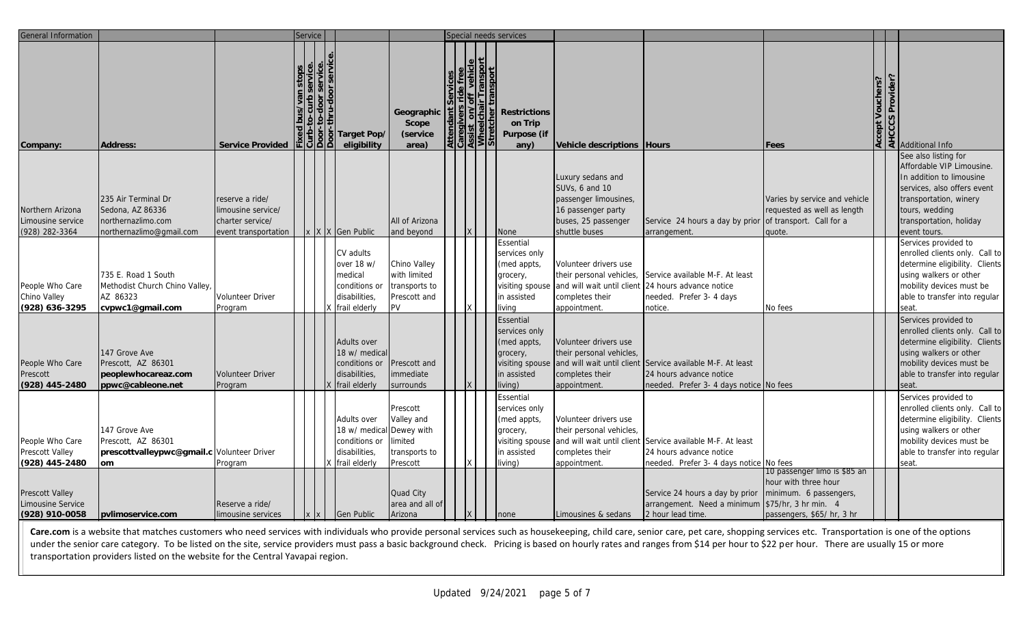| General Information                                     |                                                                                           |                                                                                 | Service |                                                                                            |                                                                     |  | Special needs services                                                                                  |                                                                                                                            |                                                                                                                                                                                                                                                                                                                       |                                                                                                                                     |                                                                                                                                                                                                     |
|---------------------------------------------------------|-------------------------------------------------------------------------------------------|---------------------------------------------------------------------------------|---------|--------------------------------------------------------------------------------------------|---------------------------------------------------------------------|--|---------------------------------------------------------------------------------------------------------|----------------------------------------------------------------------------------------------------------------------------|-----------------------------------------------------------------------------------------------------------------------------------------------------------------------------------------------------------------------------------------------------------------------------------------------------------------------|-------------------------------------------------------------------------------------------------------------------------------------|-----------------------------------------------------------------------------------------------------------------------------------------------------------------------------------------------------|
| Company                                                 | Address:                                                                                  | Service Provided                                                                |         | Target Pop/<br>eligibility                                                                 | Geographic<br>Scope<br>(service)<br>area)                           |  | <b>Restrictions</b><br>on Trip<br>Purpose (if<br>any)                                                   | Vehicle descriptions Hours                                                                                                 |                                                                                                                                                                                                                                                                                                                       | Fees                                                                                                                                | 호 Additional Info                                                                                                                                                                                   |
| Northern Arizona<br>Limousine service<br>(928) 282-3364 | 235 Air Terminal Dr<br>Sedona, AZ 86336<br>northernazlimo.com<br>northernazlimo@gmail.com | eserve a ride/<br>imousine service/<br>charter service/<br>event transportation |         | x X X Gen Public                                                                           | All of Arizona<br>and beyond                                        |  | None                                                                                                    | Luxury sedans and<br>SUVs, 6 and 10<br>passenger limousines,<br>16 passenger party<br>buses, 25 passenger<br>shuttle buses | Service 24 hours a day by prior<br>arrangement                                                                                                                                                                                                                                                                        | Varies by service and vehicle<br>requested as well as length<br>of transport. Call for a<br>quote.                                  | See also listing for<br>Affordable VIP Limousine.<br>In addition to limousine<br>services, also offers event<br>transportation, winery<br>tours, wedding<br>transportation, holiday<br>event tours. |
| People Who Care<br>Chino Valley<br>(928) 636-3295       | 735 E. Road 1 South<br>Methodist Church Chino Valley,<br>AZ 86323<br>cvpwc1@gmail.com     | Volunteer Driver<br>Program                                                     |         | CV adults<br>over 18 w/<br>medical<br>conditions or<br>disabilities,<br>frail elderly      | Chino Valley<br>with limited<br>transports to<br>Prescott and<br>PV |  | Essential<br>services only<br>(med appts,<br>grocery,<br>visiting spouse<br>in assisted<br><i>ivina</i> | Volunteer drivers use<br>their personal vehicles,<br>and will wait until client<br>completes their<br>appointment.         | Service available M-F. At least<br>24 hours advance notice<br>needed. Prefer 3- 4 days<br>notice.                                                                                                                                                                                                                     | No fees                                                                                                                             | Services provided to<br>enrolled clients only. Call to<br>determine eligibility. Clients<br>using walkers or other<br>mobility devices must be<br>able to transfer into regular<br>seat             |
| People Who Care<br>Prescott<br>(928) 445-2480           | 147 Grove Ave<br>Prescott, AZ 86301<br>peoplewhocareaz.com<br>ppwc@cableone.net           | Volunteer Driver<br>Program                                                     |         | Adults over<br>18 w/ medical<br>conditions or<br>disabilities,<br>frail elderly            | Prescott and<br>mmediate<br>surrounds                               |  | Essential<br>services only<br>(med appts,<br>grocery,<br>visiting spouse<br>n assisted<br>$v$ ing)      | Volunteer drivers use<br>their personal vehicles,<br>and will wait until client<br>completes their<br>appointment.         | Service available M-F. At least<br>24 hours advance notice<br>needed. Prefer 3- 4 days notice No fees                                                                                                                                                                                                                 |                                                                                                                                     | Services provided to<br>enrolled clients only. Call to<br>determine eligibility. Clients<br>using walkers or other<br>mobility devices must be<br>able to transfer into regular                     |
| People Who Care<br>Prescott Valley<br>(928) 445-2480    | 147 Grove Ave<br>Prescott, AZ 86301<br>prescottvalleypwc@gmail.c Volunteer Driver<br>om   | Program                                                                         |         | Adults over<br>18 w/ medical Dewey with<br>conditions or<br>disabilities,<br>frail elderly | Prescott<br>Valley and<br>limited<br>transports to<br>Prescott      |  | Essential<br>services only<br>(med appts,<br>grocery,<br>visiting spouse<br>in assisted<br>iving)       | Volunteer drivers use<br>their personal vehicles,<br>completes their<br>appointment                                        | and will wait until client Service available M-F. At least<br>24 hours advance notice<br>needed. Prefer 3- 4 days notice No fees                                                                                                                                                                                      |                                                                                                                                     | Services provided to<br>enrolled clients only. Call to<br>determine eligibility. Clients<br>using walkers or other<br>mobility devices must be<br>able to transfer into regular<br>seat             |
| Prescott Valley<br>Limousine Service<br>(928) 910-0058  | pylimoservice.com                                                                         | Reserve a ride/<br>mousine services                                             |         | Gen Public                                                                                 | Quad City<br>area and all of<br>Arizona                             |  | ione                                                                                                    | imousines & sedans                                                                                                         | Service 24 hours a day by prior<br>arrangement. Need a minimum<br>2 hour lead time.<br>Care, com is a website that matches customers who need services with individuals who provide personal services such as housekeeping, child care, senior care, pet care, shopping services etc. Transportation is one of the op | 10 passenger limo is \$85 an<br>hour with three hour<br>minimum. 6 passengers,<br>\$75/hr, 3 hr min. 4<br>passengers, \$65/hr, 3 hr |                                                                                                                                                                                                     |

Care.com is a website that matches customers who need services with individuals who provide personal services such as housekeeping, child care, senior care, pet care, shopping services etc. Transportation is one of the opt under the senior care category. To be listed on the site, service providers must pass a basic background check. Pricing is based on hourly rates and ranges from \$14 per hour to \$22 per hour. There are usually 15 or more transportation providers listed on the website for the Central Yavapai region.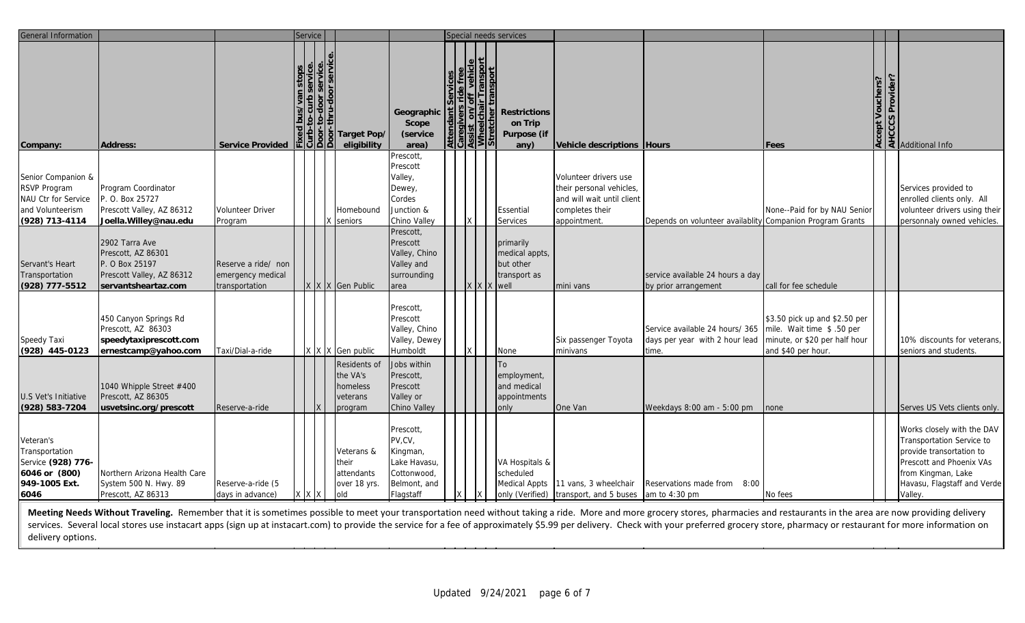| General Information                                                                             |                                                                                                            |                                                            | Service |                                                                               |                                                                                             |  |                       | Special needs services                                           |                                                                                                                   |                                                                                                     |                                                                                     |                                                                                                                                                                                       |
|-------------------------------------------------------------------------------------------------|------------------------------------------------------------------------------------------------------------|------------------------------------------------------------|---------|-------------------------------------------------------------------------------|---------------------------------------------------------------------------------------------|--|-----------------------|------------------------------------------------------------------|-------------------------------------------------------------------------------------------------------------------|-----------------------------------------------------------------------------------------------------|-------------------------------------------------------------------------------------|---------------------------------------------------------------------------------------------------------------------------------------------------------------------------------------|
| Company:                                                                                        | Address:                                                                                                   | Service Provided                                           |         | 히 Target Pop/<br>$\mathbb{E}[\mathbb{E}[\mathbb{E}][\mathbb{E}]]$ eligibility | Geographic<br>Scope<br>(service)<br>area)                                                   |  | sha<br>$\frac{25}{5}$ | Restrictions<br>on Trip<br>Purpose (if<br>any)                   | Vehicle descriptions Hours                                                                                        |                                                                                                     | Fees                                                                                | $\frac{3}{4}$ $\frac{1}{4}$ Additional Info                                                                                                                                           |
| Senior Companion &<br>RSVP Program<br>NAU Ctr for Service<br>and Volunteerism<br>(928) 713-4114 | Program Coordinator<br>P. O. Box 25727<br>Prescott Valley, AZ 86312<br>Joella. Willey@nau.edu              | Volunteer Driver<br>Program                                |         | Homebound<br>seniors                                                          | Prescott<br>Prescott<br>Valley,<br>Dewey.<br>Cordes<br>Junction &<br>Chino Valley           |  |                       | Essential<br>Services                                            | Volunteer drivers use<br>their personal vehicles,<br>and will wait until client<br>completes their<br>appointment | Depends on volunteer availablity Companion Program Grants                                           | None--Paid for by NAU Senior                                                        | Services provided to<br>enrolled clients only. All<br>volunteer drivers using their<br>personnaly owned vehicles.                                                                     |
| Servant's Heart<br>Transportation<br>(928) 777-5512                                             | 2902 Tarra Ave<br>Prescott, AZ 86301<br>P. O Box 25197<br>Prescott Valley, AZ 86312<br>servantsheartaz.com | Reserve a ride/ non<br>emergency medical<br>transportation |         | X X Gen Public                                                                | Prescott,<br>Prescott<br>Valley, Chino<br>Valley and<br>surrounding<br>area                 |  |                       | primarily<br>medical appts,<br>but other<br>transport as<br>well | mini vans                                                                                                         | service available 24 hours a day<br>by prior arrangement                                            | call for fee schedule                                                               |                                                                                                                                                                                       |
| Speedy Taxi<br>(928) 445-0123                                                                   | 450 Canyon Springs Rd<br>Prescott, AZ 86303<br>speedytaxiprescott.com<br>ernestcamp@yahoo.com              | Taxi/Dial-a-ride                                           |         | X X X Gen public                                                              | Prescott,<br>Prescott<br>Valley, Chino<br>Valley, Dewey<br>Humboldt                         |  |                       | <b>None</b>                                                      | Six passenger Toyota<br>minivans                                                                                  | Service available 24 hours/ 365 mile. Wait time \$.50 per<br>days per year with 2 hour lead<br>ime. | \$3.50 pick up and \$2.50 per<br>minute, or \$20 per half hour<br>and \$40 per hour | 10% discounts for veterans,<br>seniors and students                                                                                                                                   |
| U.S Vet's Initiative<br>$(928) 583 - 7204$                                                      | 1040 Whipple Street #400<br>Prescott, AZ 86305<br>usvetsinc.org/prescott                                   | Reserve-a-ride                                             |         | Residents of<br>the VA's<br>homeless<br>veterans<br>program                   | Jobs within<br>Prescott,<br>Prescott<br>Valley or<br>Chino Valley                           |  |                       | To<br>employment,<br>and medical<br>appointments<br>only         | One Van                                                                                                           | Weekdays 8:00 am - 5:00 pm                                                                          | none                                                                                | Serves US Vets clients only.                                                                                                                                                          |
| Veteran's<br>Transportation<br>Service (928) 776-<br>6046 or (800)<br>949-1005 Ext.<br>6046     | Northern Arizona Health Care<br>System 500 N. Hwy. 89<br>Prescott, AZ 86313                                | Reserve-a-ride (5<br>days in advance)                      |         | Veterans &<br>their<br>attendants<br>over 18 yrs.<br>old                      | Prescott,<br>PV,CV,<br>Kingman,<br>Lake Havasu.<br>Cottonwood,<br>Belmont, and<br>Flagstaff |  |                       | VA Hospitals &<br>scheduled<br><b>Medical Appts</b>              | 11 vans, 3 wheelchair<br>only (Verified) transport, and 5 buses                                                   | Reservations made from 8:00<br>am to $4:30$ pm                                                      | No fees                                                                             | Works closely with the DAV<br>Transportation Service to<br>provide transortation to<br>Prescott and Phoenix VAs<br>from Kingman, Lake<br>Havasu, Flagstaff and Verde<br><b>Valley</b> |

Meeting Needs Without Traveling. Remember that it is sometimes possible to meet your transportation need without taking a ride. More and more grocery stores, pharmacies and restaurants in the area are now providing deliver services. Several local stores use instacart apps (sign up at instacart.com) to provide the service for a fee of approximately \$5.99 per delivery. Check with your preferred grocery store, pharmacy or restaurant for more in delivery options.